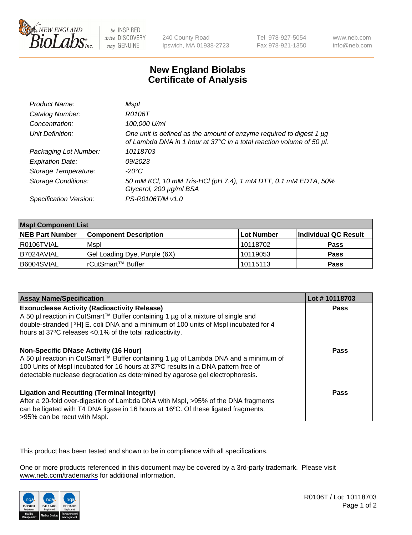

be INSPIRED drive DISCOVERY stay GENUINE

240 County Road Ipswich, MA 01938-2723 Tel 978-927-5054 Fax 978-921-1350

www.neb.com info@neb.com

## **New England Biolabs Certificate of Analysis**

| Product Name:              | Mspl                                                                                                                                        |
|----------------------------|---------------------------------------------------------------------------------------------------------------------------------------------|
| Catalog Number:            | R0106T                                                                                                                                      |
| Concentration:             | 100,000 U/ml                                                                                                                                |
| Unit Definition:           | One unit is defined as the amount of enzyme required to digest 1 µg<br>of Lambda DNA in 1 hour at 37°C in a total reaction volume of 50 µl. |
| Packaging Lot Number:      | 10118703                                                                                                                                    |
| <b>Expiration Date:</b>    | 09/2023                                                                                                                                     |
| Storage Temperature:       | -20°C                                                                                                                                       |
| <b>Storage Conditions:</b> | 50 mM KCl, 10 mM Tris-HCl (pH 7.4), 1 mM DTT, 0.1 mM EDTA, 50%<br>Glycerol, 200 µg/ml BSA                                                   |
| Specification Version:     | PS-R0106T/M v1.0                                                                                                                            |

| <b>Mspl Component List</b> |                              |                   |                      |  |
|----------------------------|------------------------------|-------------------|----------------------|--|
| <b>NEB Part Number</b>     | <b>Component Description</b> | <b>Lot Number</b> | Individual QC Result |  |
| I R0106TVIAL               | Mspl                         | 10118702          | <b>Pass</b>          |  |
| I B7024AVIAL               | Gel Loading Dye, Purple (6X) | 10119053          | <b>Pass</b>          |  |
| B6004SVIAL                 | l rCutSmart™ Buffer          | 10115113          | <b>Pass</b>          |  |

| <b>Assay Name/Specification</b>                                                                                                                                                                                                                                                                      | Lot #10118703 |
|------------------------------------------------------------------------------------------------------------------------------------------------------------------------------------------------------------------------------------------------------------------------------------------------------|---------------|
| <b>Exonuclease Activity (Radioactivity Release)</b><br>A 50 µl reaction in CutSmart™ Buffer containing 1 µg of a mixture of single and<br>double-stranded [3H] E. coli DNA and a minimum of 100 units of Mspl incubated for 4<br>hours at 37°C releases <0.1% of the total radioactivity.            | Pass          |
| Non-Specific DNase Activity (16 Hour)<br>  A 50 µl reaction in CutSmart™ Buffer containing 1 µg of Lambda DNA and a minimum of<br>100 Units of Mspl incubated for 16 hours at 37°C results in a DNA pattern free of<br>detectable nuclease degradation as determined by agarose gel electrophoresis. | <b>Pass</b>   |
| <b>Ligation and Recutting (Terminal Integrity)</b><br>After a 20-fold over-digestion of Lambda DNA with Mspl, >95% of the DNA fragments<br>can be ligated with T4 DNA ligase in 16 hours at 16°C. Of these ligated fragments,<br>l>95% can be recut with Mspl.                                       | Pass          |

This product has been tested and shown to be in compliance with all specifications.

One or more products referenced in this document may be covered by a 3rd-party trademark. Please visit <www.neb.com/trademarks>for additional information.